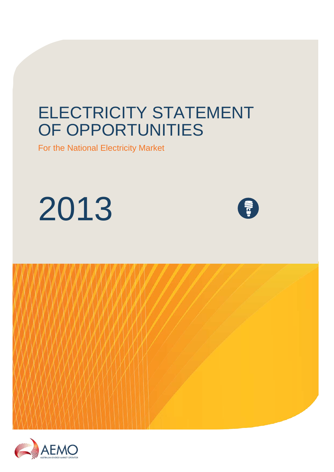# ELECTRICITY STATEMENT OF OPPORTUNITIES

For the National Electricity Market







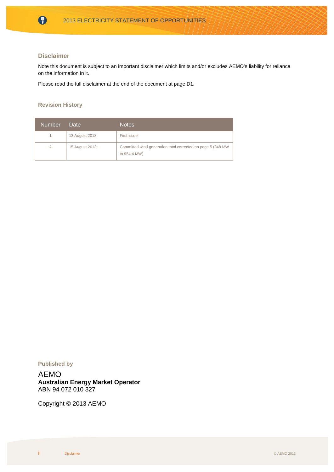#### **Disclaimer**

 $\bullet$ 

Note this document is subject to an important disclaimer which limits and/or excludes AEMO's liability for reliance on the information in it.

Please read the full disclaimer at the end of the document at page D1.

#### **Revision History**

| <b>Number</b>  | Date           | <b>Notes</b>                                                                 |
|----------------|----------------|------------------------------------------------------------------------------|
| 1              | 13 August 2013 | First issue                                                                  |
| $\overline{2}$ | 15 August 2013 | Committed wind generation total corrected on page 5 (848 MW)<br>to 954.4 MW) |

**Published by**

AEMO **Australian Energy Market Operator** ABN 94 072 010 327

Copyright © 2013 AEMO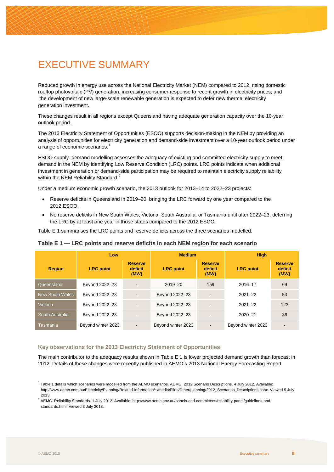## <span id="page-2-3"></span>EXECUTIVE SUMMARY

Reduced growth in energy use across the National Electricity Market (NEM) compared to 2012, rising domestic rooftop photovoltaic (PV) generation, increasing consumer response to recent growth in electricity prices, and the development of new large-scale renewable generation is expected to defer new thermal electricity generation investment.

These changes result in all regions except Queensland having adequate generation capacity over the 10-year outlook period.

The 2013 Electricity Statement of Opportunities (ESOO) supports decision-making in the NEM by providing an analysis of opportunities for electricity generation and demand-side investment over a 10-year outlook period under a range of economic scenarios.<sup>[1](#page-2-1)</sup>

ESOO supply–demand modelling assesses the adequacy of existing and committed electricity supply to meet demand in the NEM by identifying Low Reserve Condition (LRC) points. LRC points indicate when additional investment in generation or demand-side participation may be required to maintain electricity supply reliability within the NEM Reliability Standard. $2$ 

Under a medium economic growth scenario, the 2013 outlook for 2013–14 to 2022–23 projects:

- Reserve deficits in Queensland in 2019–20, bringing the LRC forward by one year compared to the 2012 ESOO.
- No reserve deficits in New South Wales, Victoria, South Australia, or Tasmania until after 2022–23, deferring the LRC by at least one year in those states compared to the 2012 ESOO.

[Table E 1](#page-2-0) summarises the LRC points and reserve deficits across the three scenarios modelled.

|                        | Low                |                                   | <b>Medium</b>      |                                   | <b>High</b>        |                                   |
|------------------------|--------------------|-----------------------------------|--------------------|-----------------------------------|--------------------|-----------------------------------|
| <b>Region</b>          | <b>LRC</b> point   | <b>Reserve</b><br>deficit<br>(MW) | <b>LRC</b> point   | <b>Reserve</b><br>deficit<br>(MW) | <b>LRC</b> point   | <b>Reserve</b><br>deficit<br>(MW) |
| Queensland             | Beyond 2022-23     |                                   | 2019-20            | 159                               | 2016-17            | 69                                |
| <b>New South Wales</b> | Beyond 2022-23     | ۰.                                | Beyond 2022-23     |                                   | $2021 - 22$        | 53                                |
| Victoria               | Beyond 2022-23     | ۰                                 | Beyond 2022-23     |                                   | $2021 - 22$        | 123                               |
| South Australia        | Beyond 2022-23     |                                   | Beyond 2022-23     |                                   | $2020 - 21$        | 36                                |
| Tasmania               | Beyond winter 2023 | -                                 | Beyond winter 2023 |                                   | Beyond winter 2023 |                                   |

#### <span id="page-2-0"></span>**Table E 1 — LRC points and reserve deficits in each NEM region for each scenario**

#### **Key observations for the 2013 Electricity Statement of Opportunities**

The main contributor to the adequacy results shown i[n Table E 1](#page-2-0) is lower projected demand growth than forecast in 2012. Details of these changes were recently published in AEMO's 2013 National Energy Forecasting Report

<span id="page-2-1"></span><sup>1</sup> [Table 1](#page-9-0) details which scenarios were modelled from the AEMO scenarios. AEMO. 2012 Scenario Descriptions. 4 July 2012. Available: [http://www.aemo.com.au/Electricity/Planning/Related-Information/~/media/Files/Other/planning/2012\\_Scenarios\\_Descriptions.ashx.](http://www.aemo.com.au/Electricity/Planning/Related-Information/~/media/Files/Other/planning/2012_Scenarios_Descriptions.ashx) Viewed 5 July 2013.

<span id="page-2-2"></span><sup>2</sup> AEMC. Reliability Standards. 1 July 2012. Available: [http://www.aemc.gov.au/panels-and-committees/reliability-panel/guidelines-and](http://www.aemc.gov.au/panels-and-committees/reliability-panel/guidelines-and-standards.html)[standards.html.](http://www.aemc.gov.au/panels-and-committees/reliability-panel/guidelines-and-standards.html) Viewed 3 July 2013.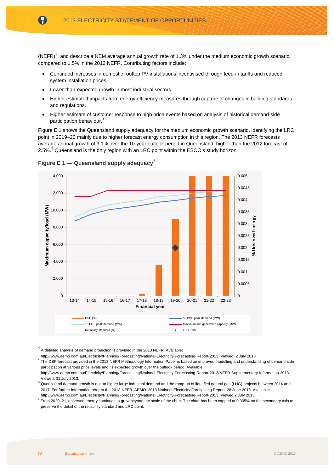(NEFR)<sup>[3](#page-3-1)</sup>, and describe a NEM average annual growth rate of 1.3% under the medium economic growth scenario, compared to 1.5% in the 2012 NEFR. Contributing factors include:

- Continued increases in domestic rooftop PV installations incentivised through feed-in tariffs and reduced system installation prices.
- Lower-than-expected growth in most industrial sectors.

6

- Higher estimated impacts from energy efficiency measures through capture of changes in building standards and regulations.
- Higher estimate of customer response to high price events based on analysis of historical demand-side participation behaviour.[4](#page-3-2)

[Figure E 1](#page-3-0) shows the Queensland supply adequacy for the medium economic growth scenario, identifying the LRC point in 2019–20 mainly due to higher forecast energy consumption in this region. The 2013 NEFR forecasts average annual growth of 3.1% over the 10-year outlook period in Queensland, higher than the 2012 forecast of 2.[5](#page-3-3)%.<sup>5</sup> Queensland is the only region with an LRC point within the ESOO's study horizon.

14,000 0.005 0.0045 12,000 0.004 Maximum capacity/load (MW) **Maximum capacity/load (MW)** 10,000 0.0035 **% Unserved energy** energ 0.003 8,000 yed 0.0025 Unser 6,000 0.002  $\approx$ 0.0015 4,000 0.001 2,000 0.0005 0 0 13-14 14-15 15-16 16-17 17-18 18-19 19-20 20-21 21-22 22-23 **Financial year** USE (%) SO POE peak demand (MW) 10 POE peak demand (MW) Maximum firm generation capacity (MW) - - Reliability standard (%)  $\bullet$  LRC Point

<span id="page-3-0"></span>**Figure E 1 — Queensland supply adequacy[6](#page-3-4)**

<span id="page-3-1"></span> $3$  A detailed analysis of demand projection is provided in the 2013 NEFR. Available:

http://www.aemo.com.au/Electricity/Planning/Forecasting/National-Electricity-Forecasting-Report-2013. Viewed: 2 July 2013.

<span id="page-3-2"></span><sup>4</sup> The DSP forecast provided in the 2013 NEFR Methodology Information Paper is based on improved modelling and understanding of demand-side participation at various price levels and its expected growth over the outlook period. Available:

http://www.aemo.com.au/Electricity/Planning/Forecasting/National-Electricity-Forecasting-Report-2013/NEFR-Supplementary-Information-2013. Viewed: 31 July 2013.

<span id="page-3-3"></span><sup>5</sup> Queensland demand growth is due to higher large industrial demand and the ramp-up of liquefied natural gas (LNG) projects between 2014 and 2017. For further information refer to the 2013 NEFR. AEMO. 2013 National Electricity Forecasting Report. 28 June 2013. Available: http://www.aemo.com.au/Electricity/Planning/Forecasting/National-Electricity-Forecasting-Report-2013. Viewed 2 July 2013.

<span id="page-3-4"></span> $6$  From 2020–21, unserved energy continues to grow beyond the scale of the chart. The chart has been capped at 0.005% on the secondary axis to preserve the detail of the reliability standard and LRC point.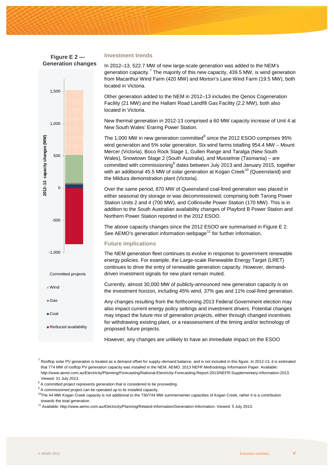#### <span id="page-4-0"></span>**Figure E 2 — Generation changes**



- Committed projects
- Wind
- Gas
- ■Coal
- Reduced availability

#### **Investment trends**

In 2012–13, 522.7 MW of new large-scale generation was added to the NEM's generation capacity.<sup>[7](#page-4-1)</sup> The majority of this new capacity, 439.5 MW, is wind generation from Macarthur Wind Farm (420 MW) and Morton's Lane Wind Farm (19.5 MW), both located in Victoria.

Other generation added to the NEM in 2012–13 includes the Qenos Cogeneration Facility (21 MW) and the Hallam Road Landfill Gas Facility (2.2 MW), both also located in Victoria.

New thermal generation in 2012-13 comprised a 60 MW capacity increase of Unit 4 at New South Wales' Eraring Power Station.

The 1,000 MW in new generation committed $8$  since the 2012 ESOO comprises 95% wind generation and 5% solar generation. Six wind farms totalling 954.4 MW – Mount Mercer (Victoria), Boco Rock Stage 1, Gullen Range and Taralga (New South Wales), Snowtown Stage 2 (South Australia), and Musselroe (Tasmania) – are committed with commissioning $9$  dates between July 2013 and January 2015, together with an additional 45.5 MW of solar generation at Kogan Creek<sup>[10](#page-4-4)</sup> (Queensland) and the Mildura demonstration plant (Victoria).

Over the same period, 870 MW of Queensland coal-fired generation was placed in either seasonal dry storage or was decommissioned; comprising both Tarong Power Station Units 2 and 4 (700 MW), and Collinsville Power Station (170 MW). This is in addition to the South Australian availability changes of Playford B Power Station and Northern Power Station reported in the 2012 ESOO.

The above capacity changes since the 2012 ESOO are summarised in [Figure E 2.](#page-4-0) See AEMO's generation information webpage $11$  for further information.

#### **Future implications**

The NEM generation fleet continues to evolve in response to government renewable energy policies. For example, the Large-scale Renewable Energy Target (LRET) continues to drive the entry of renewable generation capacity. However, demanddriven investment signals for new plant remain muted.

Currently, almost 30,000 MW of publicly-announced new generation capacity is on the investment horizon, including 45% wind, 37% gas and 11% coal-fired generation.

Any changes resulting from the forthcoming 2013 Federal Government election may also impact current energy policy settings and investment drivers. Potential changes may impact the future mix of generation projects, either through changed incentives for withdrawing existing plant, or a reassessment of the timing and/or technology of proposed future projects.

However, any changes are unlikely to have an immediate impact on the ESOO

<span id="page-4-1"></span> $^7$  Rooftop solar PV generation is treated as a demand offset for supply–demand balance, and is not included in this figure. In 2012-13, it is estimated that 774 MW of rooftop PV generation capacity was installed in the NEM. AEMO. 2013 NEFR Methodology Information Paper. Available: http://www.aemo.com.au/Electricity/Planning/Forecasting/National-Electricity-Forecasting-Report-2013/NEFR-Supplementary-Information-2013. Viewed: 31 July 2013.

 $8$  A committed project represents generation that is considered to be proceeding.

<span id="page-4-4"></span><span id="page-4-3"></span><span id="page-4-2"></span><sup>&</sup>lt;sup>9</sup> A commissioned project can be operated up to its installed capacity.

<sup>&</sup>lt;sup>10</sup>The 44 MW Kogan Creek capacity is not additional to the 730/744 MW summer/winter capacities of Kogan Creek, rather it is a contribution towards the total generation.

<span id="page-4-5"></span><sup>11</sup> Available[: http://www.aemo.com.au/Electricity/Planning/Related-Information/Generation-Information.](http://www.aemo.com.au/Electricity/Planning/Related-Information/Generation-Information) Viewed: 5 July 2013.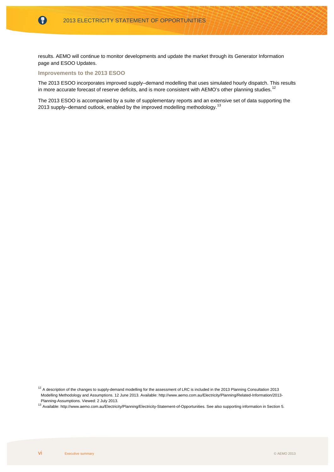results. AEMO will continue to monitor developments and update the market through its Generator Information page and ESOO Updates.

#### **Improvements to the 2013 ESOO**

8

The 2013 ESOO incorporates improved supply–demand modelling that uses simulated hourly dispatch. This results in more accurate forecast of reserve deficits, and is more consistent with AEMO's other planning studies.<sup>[12](#page-5-0)</sup>

The 2013 ESOO is accompanied by a suite of supplementary reports and an extensive set of data supporting the 20[13](#page-5-1) supply–demand outlook, enabled by the improved modelling methodology.<sup>13</sup>

<span id="page-5-0"></span><sup>12</sup> A description of the changes to supply-demand modelling for the assessment of LRC is included in the 2013 Planning Consultation 2013 Modelling Methodology and Assumptions. 12 June 2013. Available: [http://www.aemo.com.au/Electricity/Planning/Related-Information/2013-](http://www.aemo.com.au/Electricity/Planning/Related-Information/2013-Planning-Assumptions)

<span id="page-5-1"></span>[Planning-Assumptions.](http://www.aemo.com.au/Electricity/Planning/Related-Information/2013-Planning-Assumptions) Viewed: 2 July 2013.<br><sup>13</sup> Available: http://www.aemo.com.au/Electricity/Planning/Electricity-Statement-of-Opportunities. See also supporting information in Sectio[n 5.](#page-23-0)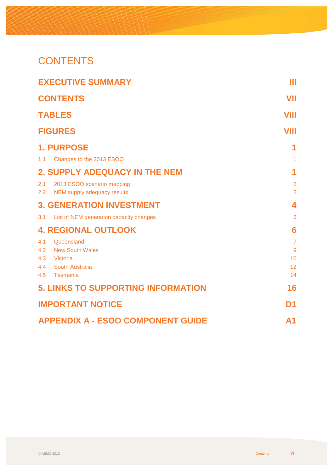## <span id="page-6-0"></span>**CONTENTS**

| <b>EXECUTIVE SUMMARY</b>                                                       | Ш                                |
|--------------------------------------------------------------------------------|----------------------------------|
| <b>CONTENTS</b>                                                                | VII                              |
| <b>TABLES</b>                                                                  | <b>VIII</b>                      |
| <b>FIGURES</b>                                                                 | VIII                             |
| <b>1. PURPOSE</b>                                                              | 1                                |
| Changes to the 2013 ESOO<br>1.1                                                | 1                                |
| <b>2. SUPPLY ADEQUACY IN THE NEM</b>                                           | 1                                |
| 2.1<br>2013 ESOO scenario mapping<br>2.2<br><b>NEM supply adequacy results</b> | $\overline{2}$<br>$\overline{2}$ |
| <b>3. GENERATION INVESTMENT</b>                                                | 4                                |
| 3.1<br>List of NEM generation capacity changes                                 | $6\phantom{1}6$                  |
| <b>4. REGIONAL OUTLOOK</b>                                                     | 6                                |
| 4.1<br>Queensland                                                              | $\overline{7}$                   |
| <b>New South Wales</b><br>4.2<br>4.3<br>Victoria                               | 9<br>10                          |
| <b>South Australia</b><br>4.4                                                  | 12                               |
| Tasmania<br>4.5                                                                | 14                               |
| <b>5. LINKS TO SUPPORTING INFORMATION</b>                                      | 16                               |
| <b>IMPORTANT NOTICE</b>                                                        | D1                               |
| <b>APPENDIX A - ESOO COMPONENT GUIDE</b>                                       | A <sub>1</sub>                   |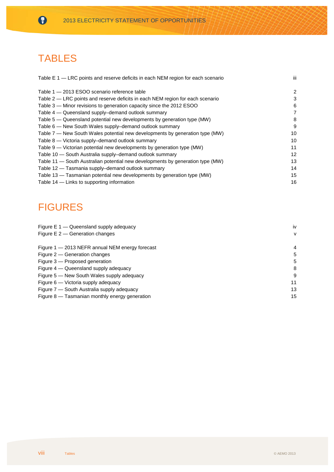## <span id="page-7-0"></span>TABLES

| Table E 1 - LRC points and reserve deficits in each NEM region for each scenario | iii            |
|----------------------------------------------------------------------------------|----------------|
| Table 1 - 2013 ESOO scenario reference table                                     | $\overline{2}$ |
| Table 2 — LRC points and reserve deficits in each NEM region for each scenario   | 3              |
| Table 3 — Minor revisions to generation capacity since the 2012 ESOO             | 6              |
| Table 4 - Queensland supply-demand outlook summary                               | 7              |
| Table 5 – Queensland potential new developments by generation type (MW)          | 8              |
| Table 6 — New South Wales supply-demand outlook summary                          | 9              |
| Table 7 — New South Wales potential new developments by generation type (MW)     | 10             |
| Table 8 — Victoria supply-demand outlook summary                                 | 10             |
| Table 9 - Victorian potential new developments by generation type (MW)           | 11             |
| Table 10 - South Australia supply-demand outlook summary                         | 12             |
| Table 11 — South Australian potential new developments by generation type (MW)   | 13             |
| Table 12 - Tasmania supply-demand outlook summary                                | 14             |
| Table 13 - Tasmanian potential new developments by generation type (MW)          | 15             |
| Table 14 - Links to supporting information                                       | 16             |

## <span id="page-7-1"></span>FIGURES

| Figure $E 1 -$ Queensland supply adequacy       | iv     |
|-------------------------------------------------|--------|
| Figure $E$ 2 $-$ Generation changes             | $\vee$ |
| Figure 1 - 2013 NEFR annual NEM energy forecast | 4      |
| Figure 2 – Generation changes                   | 5      |
| Figure 3 – Proposed generation                  | 5      |
| Figure 4 – Queensland supply adequacy           | 8      |
| Figure 5 – New South Wales supply adequacy      | 9      |
| Figure 6 - Victoria supply adequacy             | 11     |
| Figure 7 – South Australia supply adequacy      | 13     |
| Figure 8 – Tasmanian monthly energy generation  | 15     |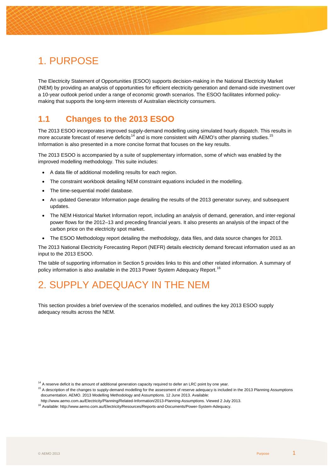## <span id="page-8-0"></span>1. PURPOSE

The Electricity Statement of Opportunities (ESOO) supports decision-making in the National Electricity Market (NEM) by providing an analysis of opportunities for efficient electricity generation and demand-side investment over a 10-year outlook period under a range of economic growth scenarios. The ESOO facilitates informed policymaking that supports the long-term interests of Australian electricity consumers.

### <span id="page-8-1"></span>**1.1 Changes to the 2013 ESOO**

The 2013 ESOO incorporates improved supply-demand modelling using simulated hourly dispatch. This results in more accurate forecast of reserve deficits<sup>[14](#page-8-3)</sup> and is more consistent with AEMO's other planning studies.<sup>[15](#page-8-4)</sup> Information is also presented in a more concise format that focuses on the key results.

The 2013 ESOO is accompanied by a suite of supplementary information, some of which was enabled by the improved modelling methodology. This suite includes:

- A data file of additional modelling results for each region.
- The constraint workbook detailing NEM constraint equations included in the modelling.
- The time-sequential model database.
- An updated Generator Information page detailing the results of the 2013 generator survey, and subsequent updates.
- The NEM Historical Market Information report, including an analysis of demand, generation, and inter-regional power flows for the 2012–13 and preceding financial years. It also presents an analysis of the impact of the carbon price on the electricity spot market.
- The ESOO Methodology report detailing the methodology, data files, and data source changes for 2013.

The 2013 National Electricity Forecasting Report (NEFR) details electricity demand forecast information used as an input to the 2013 ESOO.

The table of supporting information in Sectio[n 5](#page-23-0) provides links to this and other related information. A summary of policy information is also available in the 2013 Power System Adequacy Report.<sup>[16](#page-8-5)</sup>

## <span id="page-8-2"></span>2. SUPPLY ADEQUACY IN THE NEM

This section provides a brief overview of the scenarios modelled, and outlines the key 2013 ESOO supply adequacy results across the NEM.

<span id="page-8-3"></span><sup>&</sup>lt;sup>14</sup> A reserve deficit is the amount of additional generation capacity required to defer an LRC point by one year.

<span id="page-8-4"></span><sup>&</sup>lt;sup>15</sup> A description of the changes to supply-demand modelling for the assessment of reserve adequacy is included in the 2013 Planning Assumptions documentation. AEMO. 2013 Modelling Methodology and Assumptions. 12 June 2013. Available:

[http://www.aemo.com.au/Electricity/Planning/Related-Information/2013-Planning-Assumptions.](http://www.aemo.com.au/Electricity/Planning/Related-Information/2013-Planning-Assumptions) Viewed 2 July 2013.

<span id="page-8-5"></span><sup>16</sup> Available: http://www.aemo.com.au/Electricity/Resources/Reports-and-Documents/Power-System-Adequacy.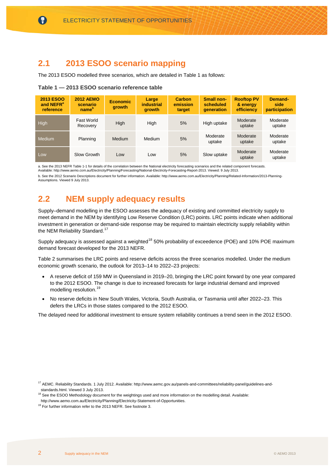### <span id="page-9-1"></span>**2.1 2013 ESOO scenario mapping**

The 2013 ESOO modelled three scenarios, which are detailed in [Table 1](#page-9-0) as follows:

| <b>2013 ESOO</b><br>and NEFR <sup>a</sup><br>reference | <b>2012 AEMO</b><br>scenario<br>name <sup>b</sup> | <b>Economic</b><br>growth | Large<br><i>industrial</i><br>growth | Carbon<br>emission<br>target | Small non-<br>scheduled<br>generation | <b>Rooftop PV</b><br>& energy<br>efficiency | Demand-<br>side<br>participation |
|--------------------------------------------------------|---------------------------------------------------|---------------------------|--------------------------------------|------------------------------|---------------------------------------|---------------------------------------------|----------------------------------|
| High                                                   | Fast World<br>Recovery                            | High                      | High                                 | 5%                           | High uptake                           | Moderate<br>uptake                          | Moderate<br>uptake               |
| Medium                                                 | Planning                                          | <b>Medium</b>             | Medium                               | 5%                           | Moderate<br>uptake                    | Moderate<br>uptake                          | Moderate<br>uptake               |
| Low                                                    | Slow Growth                                       | Low                       | Low                                  | 5%                           | Slow uptake                           | Moderate<br>uptake                          | Moderate<br>uptake               |

<span id="page-9-0"></span>**Table 1 — 2013 ESOO scenario reference table**

(?)

a. See the 2013 NEFR Table 1-1 for details of the correlation between the National electricity forecasting scenarios and the related component forecasts.<br>Available: http://www.aemo.com.au/Electricity/Planning/Forecasting/N

b. See the 2012 Scenario Descriptions document for further information. Available[: http://www.aemo.com.au/Electricity/Planning/Related-Information/2013-Planning-](http://www.aemo.com.au/Electricity/Planning/Related-Information/2013-Planning-Assumptions)[Assumptions.](http://www.aemo.com.au/Electricity/Planning/Related-Information/2013-Planning-Assumptions) Viewed 9 July 2013.

### <span id="page-9-2"></span>**2.2 NEM supply adequacy results**

Supply–demand modelling in the ESOO assesses the adequacy of existing and committed electricity supply to meet demand in the NEM by identifying Low Reserve Condition (LRC) points. LRC points indicate when additional investment in generation or demand-side response may be required to maintain electricity supply reliability within the NEM Reliability Standard.<sup>[17](#page-9-3)</sup>

<span id="page-9-6"></span>Supply adequacy is assessed against a weighted<sup>[18](#page-9-4)</sup> 50% probability of exceedence (POE) and 10% POE maximum demand forecast developed for the 2013 NEFR.

[Table 2](#page-10-0) summarises the LRC points and reserve deficits across the three scenarios modelled. Under the medium economic growth scenario, the outlook for 2013–14 to 2022–23 projects:

- A reserve deficit of 159 MW in Queensland in 2019–20, bringing the LRC point forward by one year compared to the 2012 ESOO. The change is due to increased forecasts for large industrial demand and improved modelling resolution. [19](#page-9-5)
- No reserve deficits in New South Wales, Victoria, South Australia, or Tasmania until after 2022–23. This defers the LRCs in those states compared to the 2012 ESOO.

The delayed need for additional investment to ensure system reliability continues a trend seen in the 2012 ESOO.

<span id="page-9-3"></span><sup>&</sup>lt;sup>17</sup> AEMC. Reliability Standards. 1 July 2012. Available: [http://www.aemc.gov.au/panels-and-committees/reliability-panel/guidelines-and](http://www.aemc.gov.au/panels-and-committees/reliability-panel/guidelines-and-standards.html)[standards.html.](http://www.aemc.gov.au/panels-and-committees/reliability-panel/guidelines-and-standards.html) Viewed 3 July 2013.

<span id="page-9-4"></span><sup>&</sup>lt;sup>18</sup> See the ESOO Methodology document for the weightings used and more information on the modelling detail. Available:

http://www.aemo.com.au/Electricity/Planning/Electricity-Statement-of-Opportunities.

<span id="page-9-5"></span><sup>&</sup>lt;sup>19</sup> For further information refer to the 2013 NEFR. See footnote 3.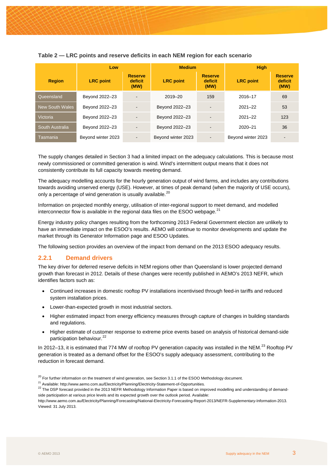|                        | Low                |                                   | <b>Medium</b>      |                                   | <b>High</b>        |                                   |
|------------------------|--------------------|-----------------------------------|--------------------|-----------------------------------|--------------------|-----------------------------------|
| <b>Region</b>          | <b>LRC</b> point   | <b>Reserve</b><br>deficit<br>(MW) | <b>LRC</b> point   | <b>Reserve</b><br>deficit<br>(MW) | <b>LRC</b> point   | <b>Reserve</b><br>deficit<br>(MW) |
| Queensland             | Beyond 2022-23     | ۰.                                | 2019-20            | 159                               | 2016-17            | 69                                |
| <b>New South Wales</b> | Beyond 2022-23     |                                   | Beyond 2022-23     |                                   | $2021 - 22$        | 53                                |
| Victoria               | Beyond 2022-23     | $\overline{\phantom{a}}$          | Beyond 2022-23     |                                   | $2021 - 22$        | 123                               |
| South Australia        | Beyond 2022-23     | $\sim$                            | Beyond 2022-23     |                                   | $2020 - 21$        | 36                                |
| Tasmania               | Beyond winter 2023 |                                   | Beyond winter 2023 |                                   | Beyond winter 2023 |                                   |

#### <span id="page-10-0"></span>**Table 2 — LRC points and reserve deficits in each NEM region for each scenario**

The supply changes detailed in Section [3](#page-11-0) had a limited impact on the adequacy calculations. This is because most newly commissioned or committed generation is wind. Wind's intermittent output means that it does not consistently contribute its full capacity towards meeting demand.

The adequacy modelling accounts for the hourly generation output of wind farms, and includes any contributions towards avoiding unserved energy (USE). However, at times of peak demand (when the majority of USE occurs), only a percentage of wind generation is usually available.<sup>[20](#page-10-1)</sup>

Information on projected monthly energy, utilisation of inter-regional support to meet demand, and modelled interconnector flow is available in the regional data files on the ESOO webpage. $^{21}$  $^{21}$  $^{21}$ 

Energy industry policy changes resulting from the forthcoming 2013 Federal Government election are unlikely to have an immediate impact on the ESOO's results. AEMO will continue to monitor developments and update the market through its Generator Information page and ESOO Updates.

The following section provides an overview of the impact from demand on the 2013 ESOO adequacy results.

#### **2.2.1 Demand drivers**

The key driver for deferred reserve deficits in NEM regions other than Queensland is lower projected demand growth than forecast in 2012. Details of these changes were recently published in AEMO's 2013 NEFR, which identifies factors such as:

- Continued increases in domestic rooftop PV installations incentivised through feed-in tariffs and reduced system installation prices.
- Lower-than-expected growth in most industrial sectors.
- Higher estimated impact from energy efficiency measures through capture of changes in building standards and regulations.
- Higher estimate of customer response to extreme price events based on analysis of historical demand-side participation behaviour. [22](#page-10-3)

In 2012–13, it is estimated that 774 MW of rooftop PV generation capacity was installed in the NEM.<sup>[23](#page-10-4)</sup> Rooftop PV generation is treated as a demand offset for the ESOO's supply adequacy assessment, contributing to the reduction in forecast demand.

<span id="page-10-4"></span><span id="page-10-3"></span><span id="page-10-2"></span><sup>22</sup> The DSP forecast provided in the 2013 NEFR Methodology Information Paper is based on improved modelling and understanding of demandside participation at various price levels and its expected growth over the outlook period. Available:

<span id="page-10-1"></span><sup>&</sup>lt;sup>20</sup> For further information on the treatment of wind generation, see Section 3.1.1 of the ESOO Methodology document.<br><sup>21</sup> Available: http://www.aemo.com.au/Electricity/Planning/Electricity-Statement-of-Opportunities.

http://www.aemo.com.au/Electricity/Planning/Forecasting/National-Electricity-Forecasting-Report-2013/NEFR-Supplementary-Information-2013. Viewed: 31 July 2013.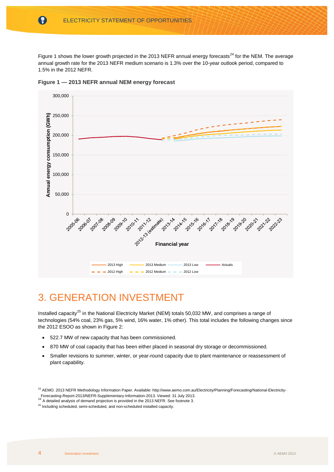[Figure 1](#page-11-1) shows the lower growth projected in the 2013 NEFR annual energy forecasts<sup>[24](#page-11-2)</sup> for the NEM. The average annual growth rate for the 2013 NEFR medium scenario is 1.3% over the 10-year outlook period, compared to 1.5% in the 2012 NEFR.



<span id="page-11-1"></span>**Figure 1 — 2013 NEFR annual NEM energy forecast**

 $\left( \right)$ 

### <span id="page-11-0"></span>3. GENERATION INVESTMENT

Installed capacity<sup>[25](#page-11-3)</sup> in the National Electricity Market (NEM) totals 50,032 MW, and comprises a range of technologies (54% coal, 23% gas, 5% wind, 16% water, 1% other). This total includes the following changes since the 2012 ESOO as shown in [Figure 2:](#page-12-0)

- 522.7 MW of new capacity that has been commissioned.
- 870 MW of coal capacity that has been either placed in seasonal dry storage or decommissioned.
- Smaller revisions to summer, winter, or year-round capacity due to plant maintenance or reassessment of plant capability.

<sup>&</sup>lt;sup>23</sup> AEMO. 2013 NEFR Methodology Information Paper. Available: http://www.aemo.com.au/Electricity/Planning/Forecasting/National-Electricity-

<span id="page-11-2"></span>Forecasting-Report-2013/NEFR-Supplementary-Information-2013. Viewed: 31 July 2013.<br><sup>24</sup> A detailed analysis of demand projection is provided in the 2013 NEFR. See footnote 3.<br><sup>25</sup> Including scheduled, semi-scheduled, and n

<span id="page-11-3"></span>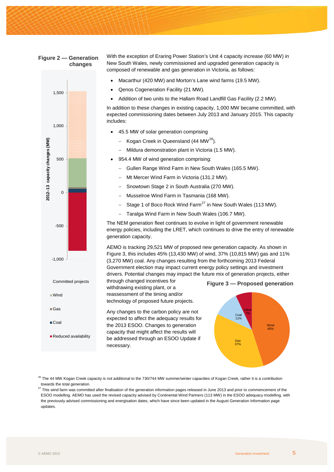#### <span id="page-12-0"></span>**Figure 2 — Generation changes**

1,500 1,000 2012-13 capacity changes (MW) **2012–13 capacity changes (MW)** 500 0 -500 -1,000 Committed projects ■Wind ■ Gas ■Coal Reduced availability With the exception of Eraring Power Station's Unit 4 capacity increase (60 MW) in New South Wales, newly commissioned and upgraded generation capacity is composed of renewable and gas generation in Victoria, as follows:

- Macarthur (420 MW) and Morton's Lane wind farms (19.5 MW).
- Qenos Cogeneration Facility (21 MW).
- Addition of two units to the Hallam Road Landfill Gas Facility (2.2 MW).

In addition to these changes in existing capacity, 1,000 MW became committed, with expected commissioning dates between July 2013 and January 2015. This capacity includes:

- 45.5 MW of solar generation comprising
	- − Kogan Creek in Queensland (44 MW<sup>26</sup>).
	- − Mildura demonstration plant in Victoria (1.5 MW).
- 954.4 MW of wind generation comprising:
	- − Gullen Range Wind Farm in New South Wales (165.5 MW).
	- − Mt Mercer Wind Farm in Victoria (131.2 MW).
	- Snowtown Stage 2 in South Australia (270 MW).
	- − Musselroe Wind Farm in Tasmania (168 MW).
	- Stage 1 of Boco Rock Wind Farm<sup>[27](#page-12-3)</sup> in New South Wales (113 MW).
	- Taralga Wind Farm in New South Wales (106.7 MW).

The NEM generation fleet continues to evolve in light of government renewable energy policies, including the LRET, which continues to drive the entry of renewable generation capacity.

AEMO is tracking 29,521 MW of proposed new generation capacity. As shown in [Figure 3,](#page-12-1) this includes 45% (13,430 MW) of wind, 37% (10,815 MW) gas and 11% (3,270 MW) coal. Any changes resulting from the forthcoming 2013 Federal Government election may impact current energy policy settings and investment drivers. Potential changes may impact the future mix of generation projects, either

through changed incentives for withdrawing existing plant, or a reassessment of the timing and/or technology of proposed future projects.

Any changes to the carbon policy are not expected to affect the adequacy results for the 2013 ESOO. Changes to generation capacity that might affect the results will be addressed through an ESOO Update if necessary.

<span id="page-12-1"></span>



<span id="page-12-2"></span><sup>26</sup> The 44 MW Kogan Creek capacity is not additional to the 730/744 MW summer/winter capacities of Kogan Creek, rather it is a contribution towards the total generation.

<span id="page-12-3"></span><sup>27</sup> This wind farm was committed after finalisation of the generation information pages released in June 2013 and prior to commencement of the ESOO modelling. AEMO has used the revised capacity advised by Continental Wind Partners (113 MW) in the ESOO adequacy modelling, with the previously advised commissioning and energisation dates, which have since been updated in the August Generation Information page updates.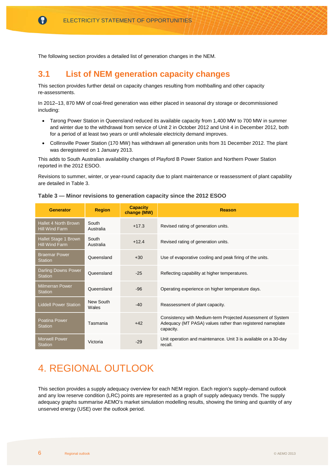6

The following section provides a detailed list of generation changes in the NEM.

### <span id="page-13-0"></span>**3.1 List of NEM generation capacity changes**

This section provides further detail on capacity changes resulting from mothballing and other capacity re-assessments.

In 2012–13, 870 MW of coal-fired generation was either placed in seasonal dry storage or decommissioned including:

- Tarong Power Station in Queensland reduced its available capacity from 1,400 MW to 700 MW in summer and winter due to the withdrawal from service of Unit 2 in October 2012 and Unit 4 in December 2012, both for a period of at least two years or until wholesale electricity demand improves.
- Collinsville Power Station (170 MW) has withdrawn all generation units from 31 December 2012. The plant was deregistered on 1 January 2013.

This adds to South Australian availability changes of Playford B Power Station and Northern Power Station reported in the 2012 ESOO.

Revisions to summer, winter, or year-round capacity due to plant maintenance or reassessment of plant capability are detailed in [Table 3.](#page-13-2)

| Generator                                            | <b>Region</b>      | <b>Capacity</b><br>change (MW) | Reason                                                                                                                                 |  |  |
|------------------------------------------------------|--------------------|--------------------------------|----------------------------------------------------------------------------------------------------------------------------------------|--|--|
| <b>Hallet 4 North Brown</b><br><b>Hill Wind Farm</b> | South<br>Australia | $+17.3$                        | Revised rating of generation units.                                                                                                    |  |  |
| Hallet Stage 1 Brown<br><b>Hill Wind Farm</b>        | South<br>Australia | $+12.4$                        | Revised rating of generation units.                                                                                                    |  |  |
| <b>Braemar Power</b><br><b>Station</b>               | Queensland         | $+30$                          | Use of evaporative cooling and peak firing of the units.                                                                               |  |  |
| <b>Darling Downs Power</b><br><b>Station</b>         | Queensland         | $-25$                          | Reflecting capability at higher temperatures.                                                                                          |  |  |
| <b>Milmerran Power</b><br><b>Station</b>             | Queensland         | $-96$                          | Operating experience on higher temperature days.                                                                                       |  |  |
| <b>Liddell Power Station</b>                         | New South<br>Wales | $-40$                          | Reassessment of plant capacity.                                                                                                        |  |  |
| Poatina Power<br><b>Station</b>                      | Tasmania           | $+42$                          | Consistency with Medium-term Projected Assessment of System<br>Adequacy (MT PASA) values rather than registered nameplate<br>capacity. |  |  |
| <b>Morwell Power</b><br><b>Station</b>               | Victoria           | $-29$                          | Unit operation and maintenance. Unit 3 is available on a 30-day<br>recall.                                                             |  |  |

#### <span id="page-13-2"></span>**Table 3 — Minor revisions to generation capacity since the 2012 ESOO**

### <span id="page-13-1"></span>4. REGIONAL OUTLOOK

This section provides a supply adequacy overview for each NEM region. Each region's supply–demand outlook and any low reserve condition (LRC) points are represented as a graph of supply adequacy trends. The supply adequacy graphs summarise AEMO's market simulation modelling results, showing the timing and quantity of any unserved energy (USE) over the outlook period.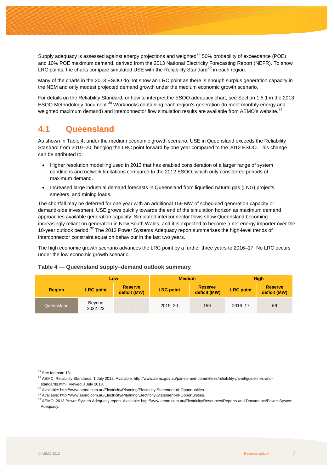Supply adequacy is assessed against energy projections and weighted<sup>[28](#page-14-2)</sup> 50% probability of exceedance (POE) and 10% POE maximum demand, derived from the 2013 National Electricity Forecasting Report (NEFR). To show LRC points, the charts compare simulated USE with the Reliability Standard<sup>[29](#page-14-3)</sup> in each region.

Many of the charts in the 2013 ESOO do not show an LRC point as there is enough surplus generation capacity in the NEM and only modest projected demand growth under the medium economic growth scenario.

For details on the Reliability Standard, or how to interpret the ESOO adequacy chart, see Section 1.5.1 in the 2013 ESOO Methodology document.<sup>[30](#page-14-4)</sup> Workbooks containing each region's generation (to meet monthly energy and weighted maximum demand) and interconnector flow simulation results are available from AEMO's website.<sup>[31](#page-14-5)</sup>

### <span id="page-14-0"></span>**4.1 Queensland**

As shown in [Table 4,](#page-14-1) under the medium economic growth scenario, USE in Queensland exceeds the Reliability Standard from 2019–20, bringing the LRC point forward by one year compared to the 2012 ESOO. This change can be attributed to:

- Higher resolution modelling used in 2013 that has enabled consideration of a larger range of system conditions and network limitations compared to the 2012 ESOO, which only considered periods of maximum demand.
- Increased large industrial demand forecasts in Queensland from liquefied natural gas (LNG) projects, smelters, and mining loads.

The shortfall may be deferred for one year with an additional 159 MW of scheduled generation capacity or demand-side investment. USE grows quickly towards the end of the simulation horizon as maximum demand approaches available generation capacity. Simulated interconnector flows show Queensland becoming increasingly reliant on generation in New South Wales, and it is expected to become a net energy importer over the 10-year outlook period.<sup>[32](#page-14-6)</sup> The 2013 Power Systems Adequacy report summarises the high-level trends of interconnector constraint equation behaviour in the last two years.

The high economic growth scenario advances the LRC point by a further three years to 2016–17. No LRC occurs under the low economic growth scenario.

<span id="page-14-1"></span>

|               | Low                   |                                | <b>Medium</b>    |                                | <b>High</b>      |                                |
|---------------|-----------------------|--------------------------------|------------------|--------------------------------|------------------|--------------------------------|
| <b>Region</b> | <b>LRC</b> point      | <b>Reserve</b><br>deficit (MW) | <b>LRC</b> point | <b>Reserve</b><br>deficit (MW) | <b>LRC</b> point | <b>Reserve</b><br>deficit (MW) |
| Queensland    | Beyond<br>$2022 - 23$ | $\blacksquare$                 | 2019-20          | 159                            | 2016-17          | 69                             |

<span id="page-14-2"></span><sup>28</sup> See footnot[e 18.](#page-9-6)

<span id="page-14-3"></span><sup>29</sup> AEMC. Reliability Standards. 1 July 2012. Available: [http://www.aemc.gov.au/panels-and-committees/reliability-panel/guidelines-and](http://www.aemc.gov.au/panels-and-committees/reliability-panel/guidelines-and-standards.html)[standards.html.](http://www.aemc.gov.au/panels-and-committees/reliability-panel/guidelines-and-standards.html) Viewed 3 July 2013.

- <span id="page-14-4"></span><sup>30</sup> Available[: http://www.aemo.com.au/Electricity/Planning/Electricity-Statement-of-Opportunities.](http://www.aemo.com.au/Electricity/Planning/Electricity-Statement-of-Opportunities)
- <span id="page-14-5"></span><sup>31</sup> Available[: http://www.aemo.com.au/Electricity/Planning/Electricity-Statement-of-Opportunities.](http://www.aemo.com.au/Electricity/Planning/Electricity-Statement-of-Opportunities)

<span id="page-14-6"></span><sup>32</sup> AEMO. 2013 Power System Adequacy report. Available: http://www.aemo.com.au/Electricity/Resources/Reports-and-Documents/Power-System-Adequacy.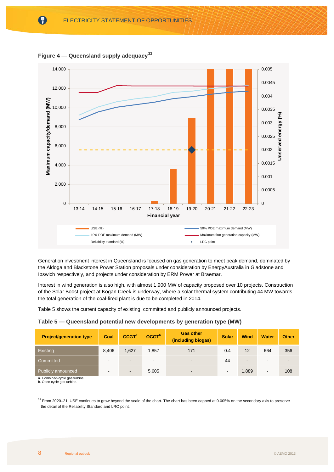

<span id="page-15-1"></span>**Figure 4 — Queensland supply adequacy[33](#page-15-2)**

6

Generation investment interest in Queensland is focused on gas generation to meet peak demand, dominated by the Aldoga and Blackstone Power Station proposals under consideration by EnergyAustralia in Gladstone and Ipswich respectively, and projects under consideration by ERM Power at Braemar.

Interest in wind generation is also high, with almost 1,900 MW of capacity proposed over 10 projects. Construction of the Solar Boost project at Kogan Creek is underway, where a solar thermal system contributing 44 MW towards the total generation of the coal-fired plant is due to be completed in 2014.

[Table 5](#page-15-0) shows the current capacity of existing, committed and publicly announced projects.

| <b>Project/generation type</b> | Coal   | <b>CCGT<sup>a</sup></b> | OCGT <sup>b</sup> | <b>Gas other</b><br>(including biogas) | <b>Solar</b>             | <b>Wind</b> | <b>Water</b> | <b>Other</b> |
|--------------------------------|--------|-------------------------|-------------------|----------------------------------------|--------------------------|-------------|--------------|--------------|
| Existing                       | 8,406  | 1,627                   | 1,857             | 171                                    | 0.4                      | 12          | 664          | 356          |
| Committed                      | $\sim$ | $\sim$                  | $\sim$            | $\sim$                                 | 44                       | ۰.          | -            |              |
| Publicly announced             | $\sim$ | $\sim$                  | 5,605             | $\blacksquare$                         | $\overline{\phantom{a}}$ | 1,889       | -            | 108          |

#### <span id="page-15-0"></span>**Table 5 — Queensland potential new developments by generation type (MW)**

a. Combined-cycle gas turbine. b. Open cycle gas turbine.

<span id="page-15-2"></span> $33$  From 2020–21, USE continues to grow beyond the scale of the chart. The chart has been capped at 0.005% on the secondary axis to preserve the detail of the Reliability Standard and LRC point.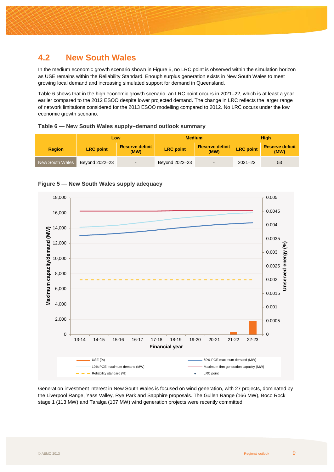### <span id="page-16-0"></span>**4.2 New South Wales**

In the medium economic growth scenario shown i[n Figure 5,](#page-16-2) no LRC point is observed within the simulation horizon as USE remains within the Reliability Standard. Enough surplus generation exists in New South Wales to meet growing local demand and increasing simulated support for demand in Queensland.

[Table 6](#page-16-1) shows that in the high economic growth scenario, an LRC point occurs in 2021–22, which is at least a year earlier compared to the 2012 ESOO despite lower projected demand. The change in LRC reflects the larger range of network limitations considered for the 2013 ESOO modelling compared to 2012. No LRC occurs under the low economic growth scenario.

#### <span id="page-16-1"></span>**Table 6 — New South Wales supply–demand outlook summary**

|                 | Low              |                                | <b>Medium</b>    |                                | Hiah             |                                |
|-----------------|------------------|--------------------------------|------------------|--------------------------------|------------------|--------------------------------|
| <b>Region</b>   | <b>LRC</b> point | <b>Reserve deficit</b><br>(MW) | <b>LRC</b> point | <b>Reserve deficit</b><br>(MW) | <b>LRC</b> point | <b>Reserve deficit</b><br>(MW) |
| New South Wales | Beyond 2022-23   | $\blacksquare$                 | Beyond 2022-23   | $\sim$                         | $2021 - 22$      | 53                             |



#### <span id="page-16-2"></span>**Figure 5 — New South Wales supply adequacy**

Generation investment interest in New South Wales is focused on wind generation, with 27 projects, dominated by the Liverpool Range, Yass Valley, Rye Park and Sapphire proposals. The Gullen Range (166 MW), Boco Rock stage 1 (113 MW) and Taralga (107 MW) wind generation projects were recently committed.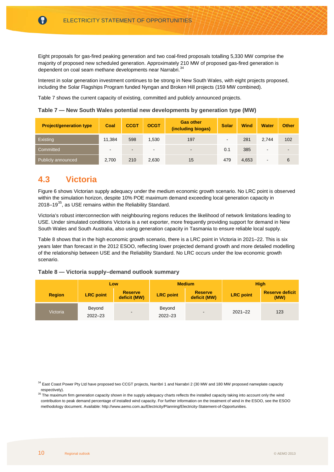Eight proposals for gas-fired peaking generation and two coal-fired proposals totalling 5,330 MW comprise the majority of proposed new scheduled generation. Approximately 210 MW of proposed gas-fired generation is dependent on coal seam methane developments near Narrabri.<sup>[34](#page-17-3)</sup>

Interest in solar generation investment continues to be strong in New South Wales, with eight projects proposed, including the Solar Flagships Program funded Nyngan and Broken Hill projects (159 MW combined).

[Table 7](#page-17-1) shows the current capacity of existing, committed and publicly announced projects.

<span id="page-17-1"></span>**Table 7 — New South Wales potential new developments by generation type (MW)**

| <b>Project/generation type</b> | Coal                     | <b>CCGT</b>              | <b>OCGT</b>              | <b>Gas other</b><br>(including biogas) | <b>Solar</b>             | <b>Wind</b> | <b>Water</b> | <b>Other</b> |
|--------------------------------|--------------------------|--------------------------|--------------------------|----------------------------------------|--------------------------|-------------|--------------|--------------|
| Existing                       | 11.384                   | 598                      | 1,530                    | 197                                    | $\overline{\phantom{a}}$ | 281         | 2,744        | 102          |
| Committed                      | $\overline{\phantom{0}}$ | $\overline{\phantom{a}}$ | $\overline{\phantom{a}}$ | $\blacksquare$                         | 0.1                      | 385         | ۰            |              |
| Publicly announced             | 2,700                    | 210                      | 2,630                    | 15                                     | 479                      | 4,653       |              | 6            |

### <span id="page-17-0"></span>**4.3 Victoria**

6

[Figure 6](#page-18-1) shows Victorian supply adequacy under the medium economic growth scenario. No LRC point is observed within the simulation horizon, despite 10% POE maximum demand exceeding local generation capacity in 2018–19[35](#page-17-4), as USE remains within the Reliability Standard.

Victoria's robust interconnection with neighbouring regions reduces the likelihood of network limitations leading to USE. Under simulated conditions Victoria is a net exporter, more frequently providing support for demand in New South Wales and South Australia, also using generation capacity in Tasmania to ensure reliable local supply.

[Table 8](#page-17-2) shows that in the high economic growth scenario, there is a LRC point in Victoria in 2021–22. This is six years later than forecast in the 2012 ESOO, reflecting lower projected demand growth and more detailed modelling of the relationship between USE and the Reliability Standard. No LRC occurs under the low economic growth scenario.

#### <span id="page-17-2"></span>**Table 8 — Victoria supply–demand outlook summary**

|               |                       | Low                            |                       | <b>Medium</b>                  | <b>High</b>      |                                |  |
|---------------|-----------------------|--------------------------------|-----------------------|--------------------------------|------------------|--------------------------------|--|
| <b>Region</b> | <b>LRC</b> point      | <b>Reserve</b><br>deficit (MW) | <b>LRC</b> point      | <b>Reserve</b><br>deficit (MW) | <b>LRC</b> point | <b>Reserve deficit</b><br>(MW) |  |
| Victoria      | Beyond<br>$2022 - 23$ | $\blacksquare$                 | Beyond<br>$2022 - 23$ | $\blacksquare$                 | $2021 - 22$      | 123                            |  |

<span id="page-17-3"></span><sup>34</sup> East Coast Power Pty Ltd have proposed two CCGT projects, Narribri 1 and Narrabri 2 (30 MW and 180 MW proposed nameplate capacity respectively).

<span id="page-17-4"></span><sup>35</sup> The maximum firm generation capacity shown in the supply adequacy charts reflects the installed capacity taking into account only the wind contribution to peak demand percentage of installed wind capacity. For further information on the treatment of wind in the ESOO, see the ESOO methodology document. Available: [http://www.aemo.com.au/Electricity/Planning/Electricity-Statement-of-Opportunities.](http://www.aemo.com.au/Electricity/Planning/Electricity-Statement-of-Opportunities)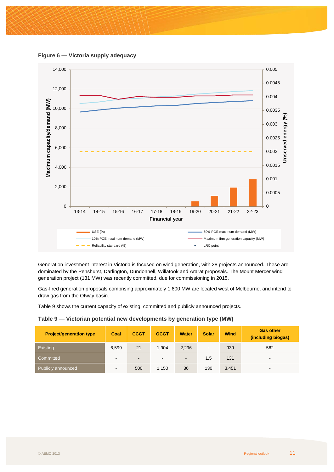<span id="page-18-1"></span>



Generation investment interest in Victoria is focused on wind generation, with 28 projects announced. These are dominated by the Penshurst, Darlington, Dundonnell, Willatook and Ararat proposals. The Mount Mercer wind generation project (131 MW) was recently committed, due for commissioning in 2015.

Gas-fired generation proposals comprising approximately 1,600 MW are located west of Melbourne, and intend to draw gas from the Otway basin.

[Table 9](#page-18-0) shows the current capacity of existing, committed and publicly announced projects.

<span id="page-18-0"></span>

|  |  |  |  | Table 9 - Victorian potential new developments by generation type (MW) |  |  |  |  |
|--|--|--|--|------------------------------------------------------------------------|--|--|--|--|
|--|--|--|--|------------------------------------------------------------------------|--|--|--|--|

| <b>Project/generation type</b> | Coal   | <b>CCGT</b> | <b>OCGT</b>    | <b>Water</b>   | <b>Solar</b>   | <b>Wind</b> | <b>Gas other</b><br>(including biogas) |
|--------------------------------|--------|-------------|----------------|----------------|----------------|-------------|----------------------------------------|
| <b>Existing</b>                | 6,599  | 21          | 1.904          | 2,296          | $\blacksquare$ | 939         | 562                                    |
| Committed                      | $\,$   | $\sim$      | $\blacksquare$ | $\blacksquare$ | 1.5            | 131         | $\blacksquare$                         |
| Publicly announced             | $\sim$ | 500         | 1,150          | 36             | 130            | 3,451       | $\blacksquare$                         |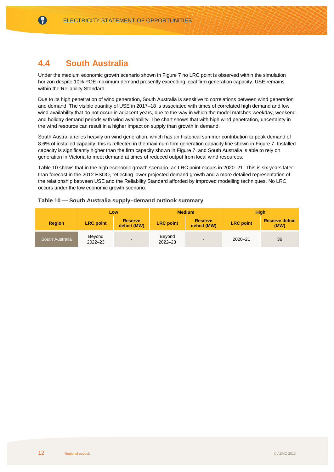### <span id="page-19-0"></span>**4.4 South Australia**

6

Under the medium economic growth scenario shown i[n Figure 7](#page-20-1) no LRC point is observed within the simulation horizon despite 10% POE maximum demand presently exceeding local firm generation capacity. USE remains within the Reliability Standard.

Due to its high penetration of wind generation, South Australia is sensitive to correlations between wind generation and demand. The visible quantity of USE in 2017–18 is associated with times of correlated high demand and low wind availability that do not occur in adjacent years, due to the way in which the model matches weekday, weekend and holiday demand periods with wind availability. The chart shows that with high wind penetration, uncertainty in the wind resource can result in a higher impact on supply than growth in demand.

South Australia relies heavily on wind generation, which has an historical summer contribution to peak demand of 8.6% of installed capacity; this is reflected in the maximum firm generation capacity line shown i[n Figure 7.](#page-20-1) Installed capacity is significantly higher than the firm capacity shown in [Figure 7,](#page-20-1) and South Australia is able to rely on generation in Victoria to meet demand at times of reduced output from local wind resources.

[Table 10](#page-19-1) shows that in the high economic growth scenario, an LRC point occurs in 2020–21. This is six years later than forecast in the 2012 ESOO, reflecting lower projected demand growth and a more detailed representation of the relationship between USE and the Reliability Standard afforded by improved modelling techniques. No LRC occurs under the low economic growth scenario.

|                        |                       | .                              |                       |                                |                  |                                |  |
|------------------------|-----------------------|--------------------------------|-----------------------|--------------------------------|------------------|--------------------------------|--|
|                        |                       | Low                            |                       | <b>Medium</b>                  | <b>High</b>      |                                |  |
| <b>Region</b>          | <b>LRC</b> point      | <b>Reserve</b><br>deficit (MW) | <b>LRC</b> point      | <b>Reserve</b><br>deficit (MW) | <b>LRC</b> point | <b>Reserve deficit</b><br>(MW) |  |
| <b>South Australia</b> | Beyond<br>$2022 - 23$ | $\sim$                         | Beyond<br>$2022 - 23$ | -                              | 2020-21          | 36                             |  |

<span id="page-19-1"></span>

| Table 10 - South Australia supply-demand outlook summary |  |
|----------------------------------------------------------|--|
|----------------------------------------------------------|--|

2022–23 - 2020–21 <sup>36</sup>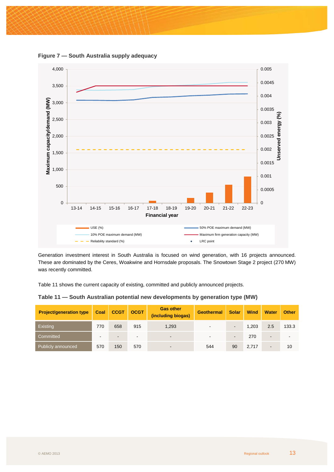

<span id="page-20-1"></span>**Figure 7 — South Australia supply adequacy**

Generation investment interest in South Australia is focused on wind generation, with 16 projects announced. These are dominated by the Ceres, Woakwine and Hornsdale proposals. The Snowtown Stage 2 project (270 MW) was recently committed.

[Table 11](#page-20-0) shows the current capacity of existing, committed and publicly announced projects.

<span id="page-20-0"></span>

| Table 11 - South Australian potential new developments by generation type (MW) |  |  |  |  |  |
|--------------------------------------------------------------------------------|--|--|--|--|--|
|--------------------------------------------------------------------------------|--|--|--|--|--|

| <b>Project/generation type</b> | Coal | <b>CCGT</b>              | <b>OCGT</b> | <b>Gas other</b><br>(including biogas) | <b>Geothermal</b>        | <b>Solar</b>             | <b>Wind</b> | <b>Water</b>   | <b>Other</b> |
|--------------------------------|------|--------------------------|-------------|----------------------------------------|--------------------------|--------------------------|-------------|----------------|--------------|
| <b>Existing</b>                | 770  | 658                      | 915         | 1,293                                  | $\overline{\phantom{a}}$ | $\overline{\phantom{a}}$ | 1.203       | 2.5            | 133.3        |
| Committed                      |      | $\overline{\phantom{0}}$ | $\sim$      | $\blacksquare$                         | $\overline{\phantom{0}}$ | $\overline{\phantom{a}}$ | 270         | $\blacksquare$ |              |
| Publicly announced             | 570  | 150                      | 570         | $\blacksquare$                         | 544                      | 90                       | 2,717       | $\blacksquare$ | 10           |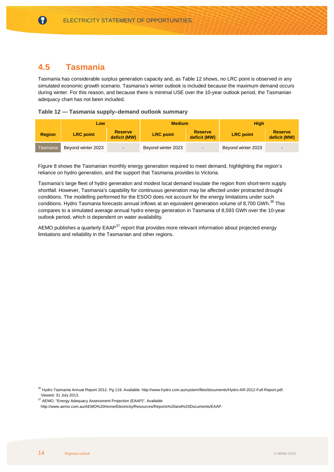### <span id="page-21-0"></span>**4.5 Tasmania**

(1

Tasmania has considerable surplus generation capacity and, a[s Table 12](#page-21-1) shows, no LRC point is observed in any simulated economic growth scenario. Tasmania's winter outlook is included because the maximum demand occurs during winter. For this reason, and because there is minimal USE over the 10-year outlook period, the Tasmanian adequacy chart has not been included.

<span id="page-21-1"></span>

|               | LOW                |                                | <b>Medium</b>      |                                | Hiah               |                                |  |
|---------------|--------------------|--------------------------------|--------------------|--------------------------------|--------------------|--------------------------------|--|
| <b>Region</b> | <b>LRC</b> point   | <b>Reserve</b><br>deficit (MW) | <b>LRC</b> point   | <b>Reserve</b><br>deficit (MW) | <b>LRC</b> point   | <b>Reserve</b><br>deficit (MW) |  |
| Tasmania      | Beyond winter 2023 | $\overline{\phantom{a}}$       | Beyond winter 2023 | $\blacksquare$                 | Beyond winter 2023 |                                |  |

[Figure 8](#page-22-1) shows the Tasmanian monthly energy generation required to meet demand, highlighting the region's reliance on hydro generation, and the support that Tasmania provides to Victoria.

Tasmania's large fleet of hydro generation and modest local demand insulate the region from short-term supply shortfall. However, Tasmania's capability for continuous generation may be affected under protracted drought conditions. The modelling performed for the ESOO does not account for the energy limitations under such conditions. Hydro Tasmania forecasts annual inflows at an equivalent generation volume of 8,700 GWh.<sup>[36](#page-21-2)</sup> This compares to a simulated average annual hydro energy generation in Tasmania of 8,593 GWh over the 10-year outlook period, which is dependent on water availability.

AEMO publishes a quarterly EAAP<sup>[37](#page-21-3)</sup> report that provides more relevant information about projected energy limitations and reliability in the Tasmanian and other regions.

<span id="page-21-2"></span><sup>36</sup> Hydro Tasmania Annual Report 2012. Pg 119. Available: http://www.hydro.com.au/system/files/documents/Hydro-AR-2012-Full-Report.pdf. Viewed: 31 July 2013.

<span id="page-21-3"></span><sup>37</sup> AEMO. "Energy Adequacy Assessment Projection (EAAP)". Available

[http://www.aemo.com.au/AEMO%20Home/Electricity/Resources/Reports%20and%20Documents/EAAP.](http://www.aemo.com.au/AEMO%20Home/Electricity/Resources/Reports%20and%20Documents/EAAP)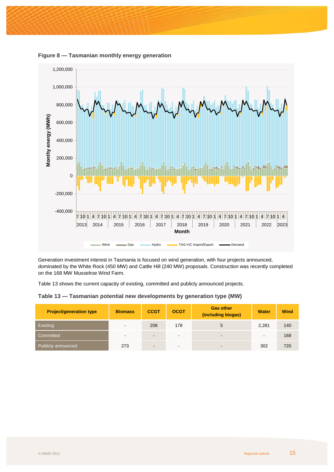

<span id="page-22-1"></span>**Figure 8 — Tasmanian monthly energy generation**

Generation investment interest in Tasmania is focused on wind generation, with four projects announced, dominated by the White Rock (450 MW) and Cattle Hill (240 MW) proposals. Construction was recently completed on the 168 MW Musselroe Wind Farm.

[Table 13](#page-22-0) shows the current capacity of existing, committed and publicly announced projects.

<span id="page-22-0"></span>

| Table 13 - Tasmanian potential new developments by generation type (MW) |  |  |
|-------------------------------------------------------------------------|--|--|
|-------------------------------------------------------------------------|--|--|

| <b>Project/generation type</b> | <b>Biomass</b> | <b>CCGT</b>              | <b>OCGT</b>              | <b>Gas other</b><br>(including biogas) | <b>Water</b>   | <b>Wind</b> |
|--------------------------------|----------------|--------------------------|--------------------------|----------------------------------------|----------------|-------------|
| Existing                       | $\sim$         | 208                      | 178                      | 5                                      | 2,281          | 140         |
| Committed                      | $\blacksquare$ | $\overline{\phantom{0}}$ | $\sim$                   |                                        | $\blacksquare$ | 168         |
| Publicly announced             | 273            | $\blacksquare$           | $\overline{\phantom{a}}$ |                                        | 302            | 720         |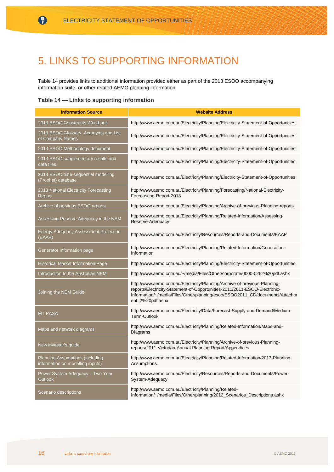## <span id="page-23-0"></span>5. LINKS TO SUPPORTING INFORMATION

[Table 14](#page-23-1) provides links to additional information provided either as part of the 2013 ESOO accompanying information suite, or other related AEMO planning information.

#### <span id="page-23-1"></span>**Table 14 — Links to supporting information**

0

| <b>Information Source</b>                                                  | <b>Website Address</b>                                                                                                                                                                                                                                    |  |  |
|----------------------------------------------------------------------------|-----------------------------------------------------------------------------------------------------------------------------------------------------------------------------------------------------------------------------------------------------------|--|--|
| 2013 ESOO Constraints Workbook                                             | http://www.aemo.com.au/Electricity/Planning/Electricity-Statement-of-Opportunities                                                                                                                                                                        |  |  |
| 2013 ESOO Glossary, Acronyms and List<br>of Company Names                  | http://www.aemo.com.au/Electricity/Planning/Electricity-Statement-of-Opportunities                                                                                                                                                                        |  |  |
| 2013 ESOO Methodology document                                             | http://www.aemo.com.au/Electricity/Planning/Electricity-Statement-of-Opportunities                                                                                                                                                                        |  |  |
| 2013 ESOO supplementary results and<br>data files                          | http://www.aemo.com.au/Electricity/Planning/Electricity-Statement-of-Opportunities                                                                                                                                                                        |  |  |
| 2013 ESOO time-sequential modelling<br>(Prophet) database                  | http://www.aemo.com.au/Electricity/Planning/Electricity-Statement-of-Opportunities                                                                                                                                                                        |  |  |
| 2013 National Electricity Forecasting<br>Report                            | http://www.aemo.com.au/Electricity/Planning/Forecasting/National-Electricity-<br>Forecasting-Report-2013                                                                                                                                                  |  |  |
| Archive of previous ESOO reports                                           | http://www.aemo.com.au/Electricity/Planning/Archive-of-previous-Planning-reports                                                                                                                                                                          |  |  |
| Assessing Reserve Adequacy in the NEM                                      | http://www.aemo.com.au/Electricity/Planning/Related-Information/Assessing-<br>Reserve-Adequacy                                                                                                                                                            |  |  |
| Energy Adequacy Assessment Projection<br>(EAAP)                            | http://www.aemo.com.au/Electricity/Resources/Reports-and-Documents/EAAP                                                                                                                                                                                   |  |  |
| Generator Information page                                                 | http://www.aemo.com.au/Electricity/Planning/Related-Information/Generation-<br>Information                                                                                                                                                                |  |  |
| <b>Historical Market Information Page</b>                                  | http://www.aemo.com.au/Electricity/Planning/Electricity-Statement-of-Opportunities                                                                                                                                                                        |  |  |
| Introduction to the Australian NEM                                         | http://www.aemo.com.au/~/media/Files/Other/corporate/0000-0262%20pdf.ashx                                                                                                                                                                                 |  |  |
| Joining the NEM Guide                                                      | http://www.aemo.com.au/Electricity/Planning/Archive-of-previous-Planning-<br>reports/Electricity-Statement-of-Opportunities-2011/2011-ESOO-Electronic-<br>Information/~/media/Files/Other/planning/esoo/ESOO2011_CD/documents/Attachm<br>ent_2%20pdf.ashx |  |  |
| <b>MT PASA</b>                                                             | http://www.aemo.com.au/Electricity/Data/Forecast-Supply-and-Demand/Medium-<br>Term-Outlook                                                                                                                                                                |  |  |
| Maps and network diagrams                                                  | http://www.aemo.com.au/Electricity/Planning/Related-Information/Maps-and-<br>Diagrams                                                                                                                                                                     |  |  |
| New investor's guide                                                       | http://www.aemo.com.au/Electricity/Planning/Archive-of-previous-Planning-<br>reports/2011-Victorian-Annual-Planning-Report/Appendices                                                                                                                     |  |  |
| <b>Planning Assumptions (including</b><br>information on modelling inputs) | http://www.aemo.com.au/Electricity/Planning/Related-Information/2013-Planning-<br>Assumptions                                                                                                                                                             |  |  |
| Power System Adequacy - Two Year<br>Outlook                                | http://www.aemo.com.au/Electricity/Resources/Reports-and-Documents/Power-<br>System-Adequacy                                                                                                                                                              |  |  |
| Scenario descriptions                                                      | http://www.aemo.com.au/Electricity/Planning/Related-<br>Information/~/media/Files/Other/planning/2012_Scenarios_Descriptions.ashx                                                                                                                         |  |  |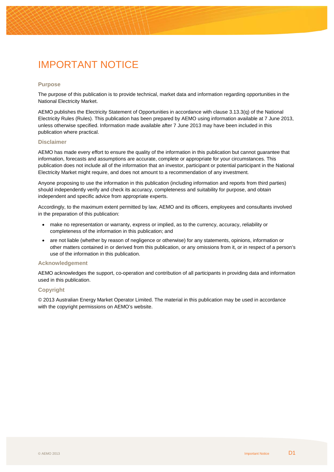## <span id="page-24-0"></span>IMPORTANT NOTICE

#### **Purpose**

The purpose of this publication is to provide technical, market data and information regarding opportunities in the National Electricity Market.

AEMO publishes the Electricity Statement of Opportunities in accordance with clause 3.13.3(q) of the National Electricity Rules (Rules). This publication has been prepared by AEMO using information available at 7 June 2013, unless otherwise specified. Information made available after 7 June 2013 may have been included in this publication where practical.

#### **Disclaimer**

AEMO has made every effort to ensure the quality of the information in this publication but cannot guarantee that information, forecasts and assumptions are accurate, complete or appropriate for your circumstances. This publication does not include all of the information that an investor, participant or potential participant in the National Electricity Market might require, and does not amount to a recommendation of any investment.

Anyone proposing to use the information in this publication (including information and reports from third parties) should independently verify and check its accuracy, completeness and suitability for purpose, and obtain independent and specific advice from appropriate experts.

Accordingly, to the maximum extent permitted by law, AEMO and its officers, employees and consultants involved in the preparation of this publication:

- make no representation or warranty, express or implied, as to the currency, accuracy, reliability or completeness of the information in this publication; and
- are not liable (whether by reason of negligence or otherwise) for any statements, opinions, information or other matters contained in or derived from this publication, or any omissions from it, or in respect of a person's use of the information in this publication.

#### **Acknowledgement**

AEMO acknowledges the support, co-operation and contribution of all participants in providing data and information used in this publication.

#### **Copyright**

© 2013 Australian Energy Market Operator Limited. The material in this publication may be used in accordance with the copyright permissions on AEMO's website.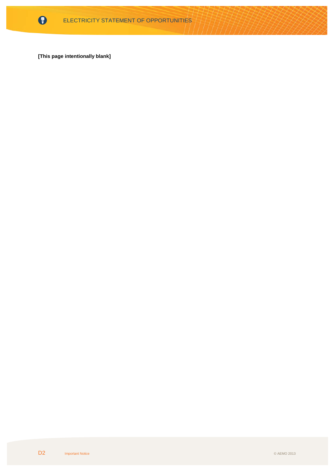**[This page intentionally blank]**